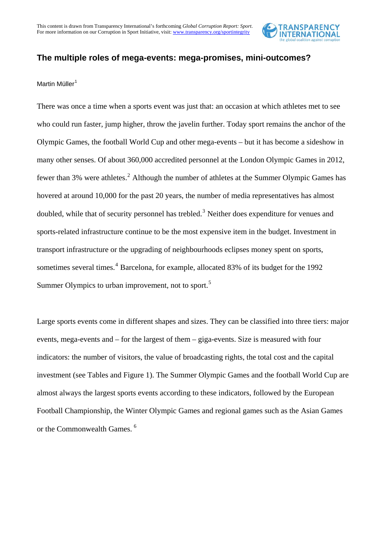

# **The multiple roles of mega-events: mega-promises, mini-outcomes?**

### Martin Müller<sup>[1](#page-7-0)</sup>

There was once a time when a sports event was just that: an occasion at which athletes met to see who could run faster, jump higher, throw the javelin further. Today sport remains the anchor of the Olympic Games, the football World Cup and other mega-events – but it has become a sideshow in many other senses. Of about 360,000 accredited personnel at the London Olympic Games in 2012, fewer than 3% were athletes.<sup>[2](#page-7-1)</sup> Although the number of athletes at the Summer Olympic Games has hovered at around 10,000 for the past 20 years, the number of media representatives has almost doubled, while that of security personnel has trebled.<sup>[3](#page-7-2)</sup> Neither does expenditure for venues and sports-related infrastructure continue to be the most expensive item in the budget. Investment in transport infrastructure or the upgrading of neighbourhoods eclipses money spent on sports, sometimes several times.<sup>[4](#page-7-3)</sup> Barcelona, for example, allocated 83% of its budget for the 1992 Summer Olympics to urban improvement, not to sport.<sup>[5](#page-7-4)</sup>

Large sports events come in different shapes and sizes. They can be classified into three tiers: major events, mega-events and – for the largest of them – giga-events. Size is measured with four indicators: the number of visitors, the value of broadcasting rights, the total cost and the capital investment (see Tables and Figure 1). The Summer Olympic Games and the football World Cup are almost always the largest sports events according to these indicators, followed by the European Football Championship, the Winter Olympic Games and regional games such as the Asian Games or the Commonwealth Games.<sup>[6](#page-7-5)</sup>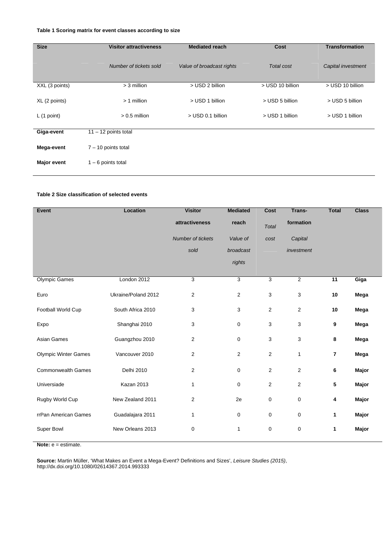#### **Table 1 Scoring matrix for event classes according to size**

| <b>Size</b>        | <b>Visitor attractiveness</b> | <b>Mediated reach</b>     | Cost              | <b>Transformation</b> |  |
|--------------------|-------------------------------|---------------------------|-------------------|-----------------------|--|
|                    | Number of tickets sold        | Value of broadcast rights | <b>Total cost</b> | Capital investment    |  |
| XXL (3 points)     | > 3 million                   | > USD 2 billion           | > USD 10 billion  | > USD 10 billion      |  |
| XL (2 points)      | $> 1$ million                 | > USD 1 billion           | > USD 5 billion   | > USD 5 billion       |  |
| L(1 point)         | $> 0.5$ million               | > USD 0.1 billion         | > USD 1 billion   | > USD 1 billion       |  |
|                    |                               |                           |                   |                       |  |
| Giga-event         | $11 - 12$ points total        |                           |                   |                       |  |
| Mega-event         | $7 - 10$ points total         |                           |                   |                       |  |
| <b>Major event</b> | $1 - 6$ points total          |                           |                   |                       |  |

#### **Table 2 Size classification of selected events**

| Event                       | Location            | <b>Visitor</b>    | <b>Mediated</b> | <b>Cost</b>    | Trans-         | <b>Total</b>   | <b>Class</b> |
|-----------------------------|---------------------|-------------------|-----------------|----------------|----------------|----------------|--------------|
|                             |                     | attractiveness    | reach           | <b>Total</b>   | formation      |                |              |
|                             |                     | Number of tickets | Value of        | cost           | Capital        |                |              |
|                             |                     | sold              | broadcast       |                | investment     |                |              |
|                             |                     |                   | rights          |                |                |                |              |
|                             |                     |                   |                 |                |                |                |              |
| <b>Olympic Games</b>        | London 2012         | 3                 | 3               | 3              | $\overline{2}$ | 11             | Giga         |
| Euro                        | Ukraine/Poland 2012 | $\overline{2}$    | $\mathbf{2}$    | 3              | 3              | 10             | Mega         |
| Football World Cup          | South Africa 2010   | 3                 | 3               | $\overline{2}$ | $\overline{2}$ | 10             | Mega         |
| Expo                        | Shanghai 2010       | 3                 | $\pmb{0}$       | 3              | 3              | 9              | Mega         |
| Asian Games                 | Guangzhou 2010      | $\overline{2}$    | $\pmb{0}$       | 3              | 3              | 8              | Mega         |
| <b>Olympic Winter Games</b> | Vancouver 2010      | 2                 | 2               | $\overline{2}$ | $\mathbf{1}$   | $\overline{7}$ | Mega         |
| <b>Commonwealth Games</b>   | Delhi 2010          | 2                 | 0               | $\overline{2}$ | $\overline{2}$ | 6              | Major        |
| Universiade                 | Kazan 2013          | 1                 | 0               | $\overline{2}$ | $\overline{2}$ | 5              | Major        |
| Rugby World Cup             | New Zealand 2011    | $\overline{2}$    | 2e              | 0              | $\pmb{0}$      | 4              | Major        |
| rrPan American Games        | Guadalajara 2011    | 1                 | 0               | 0              | 0              | $\mathbf{1}$   | Major        |
| Super Bowl                  | New Orleans 2013    | $\mathbf 0$       | 1               | 0              | $\pmb{0}$      | 1              | Major        |
|                             |                     |                   |                 |                |                |                |              |

**Note:**  $e =$  estimate.

**Source:** Martin Müller, 'What Makes an Event a Mega-Event? Definitions and Sizes', *Leisure Studies (2015)*, http://dx.doi.org/10.1080/02614367.2014.993333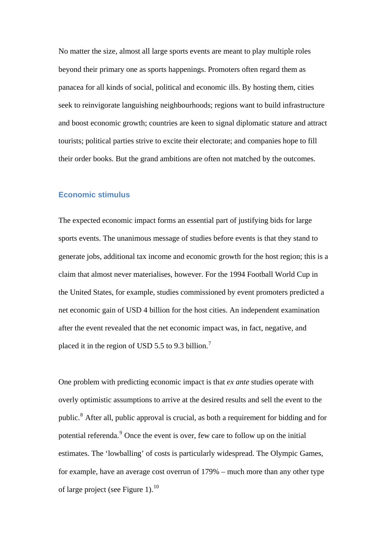No matter the size, almost all large sports events are meant to play multiple roles beyond their primary one as sports happenings. Promoters often regard them as panacea for all kinds of social, political and economic ills. By hosting them, cities seek to reinvigorate languishing neighbourhoods; regions want to build infrastructure and boost economic growth; countries are keen to signal diplomatic stature and attract tourists; political parties strive to excite their electorate; and companies hope to fill their order books. But the grand ambitions are often not matched by the outcomes.

### **Economic stimulus**

The expected economic impact forms an essential part of justifying bids for large sports events. The unanimous message of studies before events is that they stand to generate jobs, additional tax income and economic growth for the host region; this is a claim that almost never materialises, however. For the 1994 Football World Cup in the United States, for example, studies commissioned by event promoters predicted a net economic gain of USD 4 billion for the host cities. An independent examination after the event revealed that the net economic impact was, in fact, negative, and placed it in the region of USD 5.5 to 9.3 billion.[7](#page-7-6)

One problem with predicting economic impact is that *ex ante* studies operate with overly optimistic assumptions to arrive at the desired results and sell the event to the public.<sup>[8](#page-7-7)</sup> After all, public approval is crucial, as both a requirement for bidding and for potential referenda.<sup>[9](#page-7-8)</sup> Once the event is over, few care to follow up on the initial estimates. The 'lowballing' of costs is particularly widespread. The Olympic Games, for example, have an average cost overrun of 179% – much more than any other type of large project (see Figure 1).<sup>[10](#page-7-9)</sup>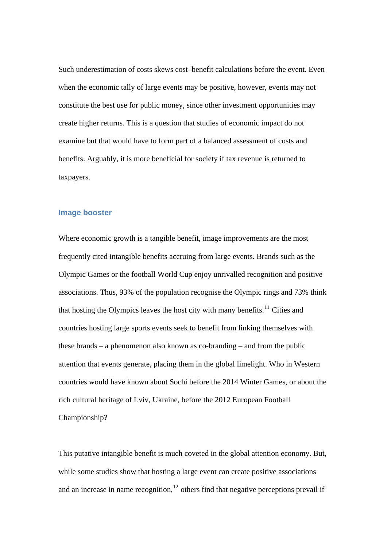Such underestimation of costs skews cost–benefit calculations before the event. Even when the economic tally of large events may be positive, however, events may not constitute the best use for public money, since other investment opportunities may create higher returns. This is a question that studies of economic impact do not examine but that would have to form part of a balanced assessment of costs and benefits. Arguably, it is more beneficial for society if tax revenue is returned to taxpayers.

#### **Image booster**

Where economic growth is a tangible benefit, image improvements are the most frequently cited intangible benefits accruing from large events. Brands such as the Olympic Games or the football World Cup enjoy unrivalled recognition and positive associations. Thus, 93% of the population recognise the Olympic rings and 73% think that hosting the Olympics leaves the host city with many benefits.<sup>[11](#page-7-10)</sup> Cities and countries hosting large sports events seek to benefit from linking themselves with these brands – a phenomenon also known as co-branding – and from the public attention that events generate, placing them in the global limelight. Who in Western countries would have known about Sochi before the 2014 Winter Games, or about the rich cultural heritage of Lviv, Ukraine, before the 2012 European Football Championship?

This putative intangible benefit is much coveted in the global attention economy. But, while some studies show that hosting a large event can create positive associations and an increase in name recognition, $12$  others find that negative perceptions prevail if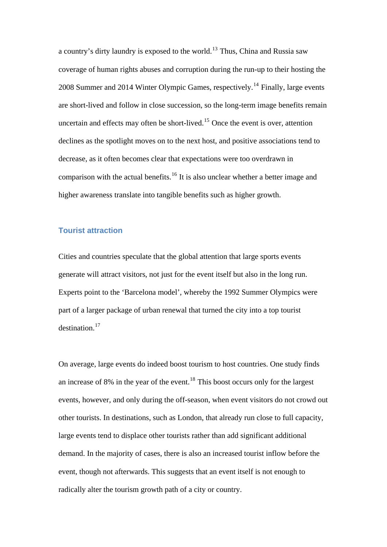a country's dirty laundry is exposed to the world.[13](#page-7-12) Thus, China and Russia saw coverage of human rights abuses and corruption during the run-up to their hosting the 2008 Summer and 20[14](#page-7-13) Winter Olympic Games, respectively.<sup>14</sup> Finally, large events are short-lived and follow in close succession, so the long-term image benefits remain uncertain and effects may often be short-lived.<sup>[15](#page-7-14)</sup> Once the event is over, attention declines as the spotlight moves on to the next host, and positive associations tend to decrease, as it often becomes clear that expectations were too overdrawn in comparison with the actual benefits.<sup>[16](#page-7-15)</sup> It is also unclear whether a better image and higher awareness translate into tangible benefits such as higher growth.

## **Tourist attraction**

Cities and countries speculate that the global attention that large sports events generate will attract visitors, not just for the event itself but also in the long run. Experts point to the 'Barcelona model', whereby the 1992 Summer Olympics were part of a larger package of urban renewal that turned the city into a top tourist destination.[17](#page-7-16)

On average, large events do indeed boost tourism to host countries. One study finds an increase of 8% in the year of the event.<sup>[18](#page-7-17)</sup> This boost occurs only for the largest events, however, and only during the off-season, when event visitors do not crowd out other tourists. In destinations, such as London, that already run close to full capacity, large events tend to displace other tourists rather than add significant additional demand. In the majority of cases, there is also an increased tourist inflow before the event, though not afterwards. This suggests that an event itself is not enough to radically alter the tourism growth path of a city or country.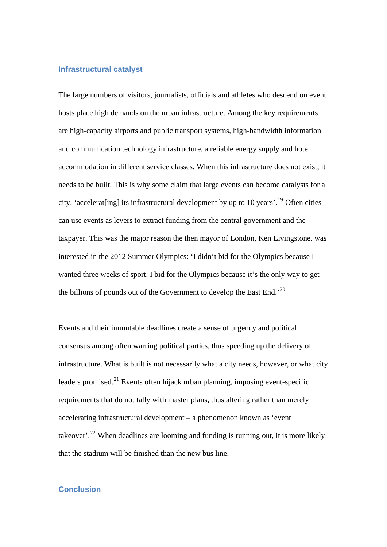### **Infrastructural catalyst**

The large numbers of visitors, journalists, officials and athletes who descend on event hosts place high demands on the urban infrastructure. Among the key requirements are high-capacity airports and public transport systems, high-bandwidth information and communication technology infrastructure, a reliable energy supply and hotel accommodation in different service classes. When this infrastructure does not exist, it needs to be built. This is why some claim that large events can become catalysts for a city, 'accelerat[ing] its infrastructural development by up to 10 years'.[19](#page-7-18) Often cities can use events as levers to extract funding from the central government and the taxpayer. This was the major reason the then mayor of London, Ken Livingstone, was interested in the 2012 Summer Olympics: 'I didn't bid for the Olympics because I wanted three weeks of sport. I bid for the Olympics because it's the only way to get the billions of pounds out of the Government to develop the East End.<sup>'[20](#page-7-19)</sup>

Events and their immutable deadlines create a sense of urgency and political consensus among often warring political parties, thus speeding up the delivery of infrastructure. What is built is not necessarily what a city needs, however, or what city leaders promised.<sup>[21](#page-7-20)</sup> Events often hijack urban planning, imposing event-specific requirements that do not tally with master plans, thus altering rather than merely accelerating infrastructural development – a phenomenon known as 'event takeover'.<sup>[22](#page-7-21)</sup> When deadlines are looming and funding is running out, it is more likely that the stadium will be finished than the new bus line.

### **Conclusion**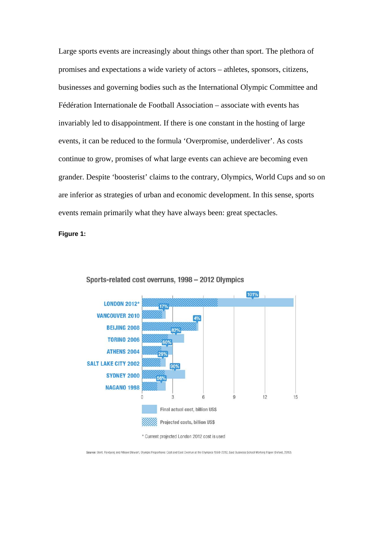Large sports events are increasingly about things other than sport. The plethora of promises and expectations a wide variety of actors – athletes, sponsors, citizens, businesses and governing bodies such as the International Olympic Committee and Fédération Internationale de Football Association – associate with events has invariably led to disappointment. If there is one constant in the hosting of large events, it can be reduced to the formula 'Overpromise, underdeliver'. As costs continue to grow, promises of what large events can achieve are becoming even grander. Despite 'boosterist' claims to the contrary, Olympics, World Cups and so on are inferior as strategies of urban and economic development. In this sense, sports events remain primarily what they have always been: great spectacles.

**Figure 1:** 



Sports-related cost overruns, 1998 - 2012 Olympics

\* Current projected London 2012 cost is used

Source: Bent, Flyvbjerg and Allison Stewart, Olympic Proportions: Cost and Cost Overrun at the Olympics 1960-2012, Said Business School Working Paper (Oxford, 2012).